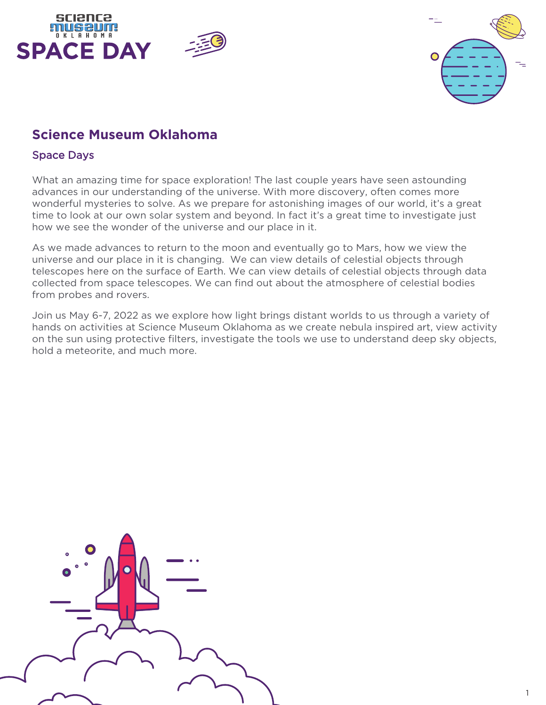





# **Science Museum Oklahoma**

## Space Days

What an amazing time for space exploration! The last couple years have seen astounding advances in our understanding of the universe. With more discovery, often comes more wonderful mysteries to solve. As we prepare for astonishing images of our world, it's a great time to look at our own solar system and beyond. In fact it's a great time to investigate just how we see the wonder of the universe and our place in it.

As we made advances to return to the moon and eventually go to Mars, how we view the universe and our place in it is changing. We can view details of celestial objects through telescopes here on the surface of Earth. We can view details of celestial objects through data collected from space telescopes. We can find out about the atmosphere of celestial bodies from probes and rovers.

Join us May 6-7, 2022 as we explore how light brings distant worlds to us through a variety of hands on activities at Science Museum Oklahoma as we create nebula inspired art, view activity on the sun using protective filters, investigate the tools we use to understand deep sky objects, hold a meteorite, and much more.

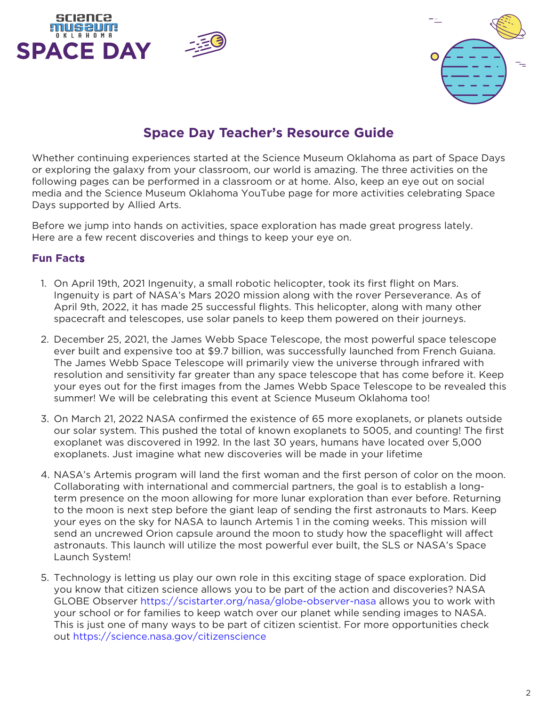



# **Space Day Teacher's Resource Guide**

Whether continuing experiences started at the Science Museum Oklahoma as part of Space Days or exploring the galaxy from your classroom, our world is amazing. The three activities on the following pages can be performed in a classroom or at home. Also, keep an eye out on social media and the Science Museum Oklahoma YouTube page for more activities celebrating Space Days supported by Allied Arts.

Before we jump into hands on activities, space exploration has made great progress lately. Here are a few recent discoveries and things to keep your eye on.

### **Fun Facts**

- 1. On April 19th, 2021 Ingenuity, a small robotic helicopter, took its first flight on Mars. Ingenuity is part of NASA's Mars 2020 mission along with the rover Perseverance. As of April 9th, 2022, it has made 25 successful flights. This helicopter, along with many other spacecraft and telescopes, use solar panels to keep them powered on their journeys.
- 2. December 25, 2021, the James Webb Space Telescope, the most powerful space telescope ever built and expensive too at \$9.7 billion, was successfully launched from French Guiana. The James Webb Space Telescope will primarily view the universe through infrared with resolution and sensitivity far greater than any space telescope that has come before it. Keep your eyes out for the first images from the James Webb Space Telescope to be revealed this summer! We will be celebrating this event at Science Museum Oklahoma too!
- 3. On March 21, 2022 NASA confirmed the existence of 65 more exoplanets, or planets outside our solar system. This pushed the total of known exoplanets to 5005, and counting! The first exoplanet was discovered in 1992. In the last 30 years, humans have located over 5,000 exoplanets. Just imagine what new discoveries will be made in your lifetime
- 4. NASA's Artemis program will land the first woman and the first person of color on the moon. Collaborating with international and commercial partners, the goal is to establish a longterm presence on the moon allowing for more lunar exploration than ever before. Returning to the moon is next step before the giant leap of sending the first astronauts to Mars. Keep your eyes on the sky for NASA to launch Artemis 1 in the coming weeks. This mission will send an uncrewed Orion capsule around the moon to study how the spaceflight will affect astronauts. This launch will utilize the most powerful ever built, the SLS or NASA's Space Launch System!
- 5. Technology is letting us play our own role in this exciting stage of space exploration. Did you know that citizen science allows you to be part of the action and discoveries? NASA GLOBE Observer<https://scistarter.org/nasa/globe-observer-nasa>allows you to work with your school or for families to keep watch over our planet while sending images to NASA. This is just one of many ways to be part of citizen scientist. For more opportunities check out<https://science.nasa.gov/citizenscience>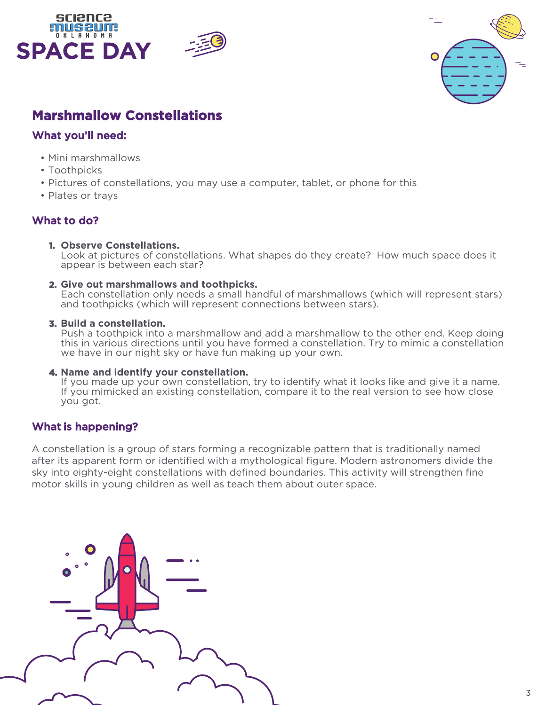





# **Marshmallow Constellations**

## What you'll need:

- Mini marshmallows
- Toothpicks
- Pictures of constellations, you may use a computer, tablet, or phone for this
- Plates or trays

## What to do?

**1. Observe Constellations.**

Look at pictures of constellations. What shapes do they create? How much space does it appear is between each star?

#### **2. Give out marshmallows and toothpicks.**

Each constellation only needs a small handful of marshmallows (which will represent stars) and toothpicks (which will represent connections between stars).

#### **3. Build a constellation.**

Push a toothpick into a marshmallow and add a marshmallow to the other end. Keep doing this in various directions until you have formed a constellation. Try to mimic a constellation we have in our night sky or have fun making up your own.

#### **4. Name and identify your constellation.**

If you made up your own constellation, try to identify what it looks like and give it a name. If you mimicked an existing constellation, compare it to the real version to see how close you got.

## What is happening?

A constellation is a group of stars forming a recognizable pattern that is traditionally named after its apparent form or identified with a mythological figure. Modern astronomers divide the sky into eighty-eight constellations with defined boundaries. This activity will strengthen fine motor skills in young children as well as teach them about outer space.

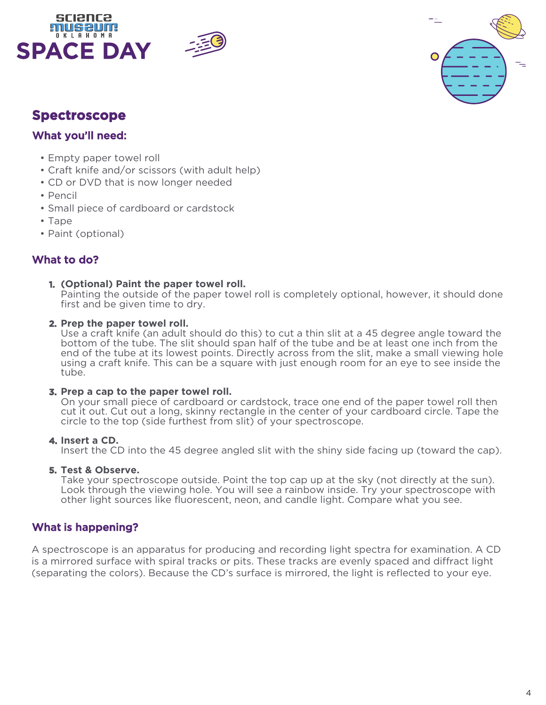





# **Spectroscope**

## What you'll need:

- Empty paper towel roll
- Craft knife and/or scissors (with adult help)
- CD or DVD that is now longer needed
- Pencil
- Small piece of cardboard or cardstock
- Tape
- Paint (optional)

## What to do?

#### **1. (Optional) Paint the paper towel roll.**

Painting the outside of the paper towel roll is completely optional, however, it should done first and be given time to dry.

#### **2. Prep the paper towel roll.**

Use a craft knife (an adult should do this) to cut a thin slit at a 45 degree angle toward the bottom of the tube. The slit should span half of the tube and be at least one inch from the end of the tube at its lowest points. Directly across from the slit, make a small viewing hole using a craft knife. This can be a square with just enough room for an eye to see inside the tube.

### **3. Prep a cap to the paper towel roll.**

On your small piece of cardboard or cardstock, trace one end of the paper towel roll then cut it out. Cut out a long, skinny rectangle in the center of your cardboard circle. Tape the circle to the top (side furthest from slit) of your spectroscope.

### **4. Insert a CD.**

Insert the CD into the 45 degree angled slit with the shiny side facing up (toward the cap).

#### **5. Test & Observe.**

Take your spectroscope outside. Point the top cap up at the sky (not directly at the sun). Look through the viewing hole. You will see a rainbow inside. Try your spectroscope with other light sources like fluorescent, neon, and candle light. Compare what you see.

## What is happening?

A spectroscope is an apparatus for producing and recording light spectra for examination. A CD is a mirrored surface with spiral tracks or pits. These tracks are evenly spaced and diffract light (separating the colors). Because the CD's surface is mirrored, the light is reflected to your eye.